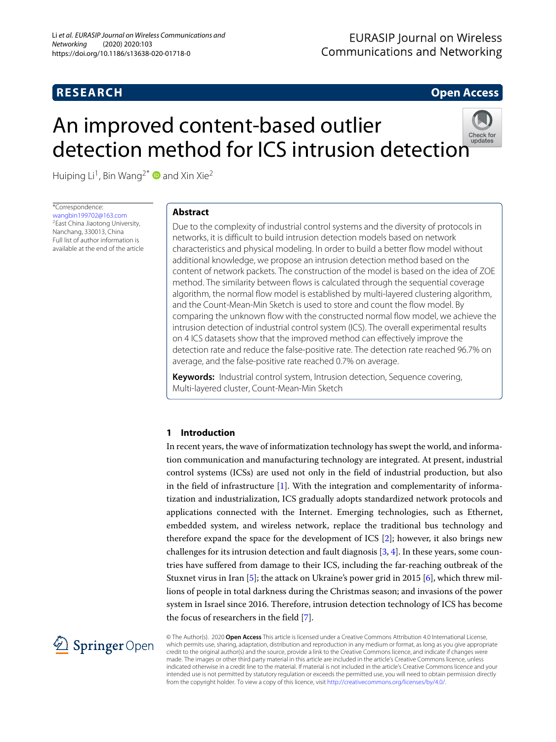# **RESEARCH Open Access**

# An improved content-based outlier detectio[n](http://crossmark.crossref.org/dialog/?doi=10.1186/s13638-020-01718-0&domain=pdf) method for ICS intrusion detection



Huiping Li<sup>1</sup>, Bin Wang<sup>2\*</sup> **and Xin Xie**<sup>2</sup>

\*Correspondence: [wangbin199702@163.com](mailto: wangbin199702@163.com) 2East China Jiaotong University, Nanchang, 330013, China Full list of author information is available at the end of the article

# **Abstract**

Due to the complexity of industrial control systems and the diversity of protocols in networks, it is difficult to build intrusion detection models based on network characteristics and physical modeling. In order to build a better flow model without additional knowledge, we propose an intrusion detection method based on the content of network packets. The construction of the model is based on the idea of ZOE method. The similarity between flows is calculated through the sequential coverage algorithm, the normal flow model is established by multi-layered clustering algorithm, and the Count-Mean-Min Sketch is used to store and count the flow model. By comparing the unknown flow with the constructed normal flow model, we achieve the intrusion detection of industrial control system (ICS). The overall experimental results on 4 ICS datasets show that the improved method can effectively improve the detection rate and reduce the false-positive rate. The detection rate reached 96.7% on average, and the false-positive rate reached 0.7% on average.

**Keywords:** Industrial control system, Intrusion detection, Sequence covering, Multi-layered cluster, Count-Mean-Min Sketch

# **1 Introduction**

In recent years, the wave of informatization technology has swept the world, and information communication and manufacturing technology are integrated. At present, industrial control systems (ICSs) are used not only in the field of industrial production, but also in the field of infrastructure  $[1]$ . With the integration and complementarity of informatization and industrialization, ICS gradually adopts standardized network protocols and applications connected with the Internet. Emerging technologies, such as Ethernet, embedded system, and wireless network, replace the traditional bus technology and therefore expand the space for the development of ICS [\[2\]](#page-13-1); however, it also brings new challenges for its intrusion detection and fault diagnosis  $[3, 4]$  $[3, 4]$  $[3, 4]$ . In these years, some countries have suffered from damage to their ICS, including the far-reaching outbreak of the Stuxnet virus in Iran [\[5\]](#page-13-4); the attack on Ukraine's power grid in 2015 [\[6\]](#page-13-5), which threw millions of people in total darkness during the Christmas season; and invasions of the power system in Israel since 2016. Therefore, intrusion detection technology of ICS has become the focus of researchers in the field [\[7\]](#page-13-6).



© The Author(s). 2020 **Open Access** This article is licensed under a Creative Commons Attribution 4.0 International License, which permits use, sharing, adaptation, distribution and reproduction in any medium or format, as long as you give appropriate credit to the original author(s) and the source, provide a link to the Creative Commons licence, and indicate if changes were made. The images or other third party material in this article are included in the article's Creative Commons licence, unless indicated otherwise in a credit line to the material. If material is not included in the article's Creative Commons licence and your intended use is not permitted by statutory regulation or exceeds the permitted use, you will need to obtain permission directly from the copyright holder. To view a copy of this licence, visit [http://creativecommons.org/licenses/by/4.0/.](http://creativecommons.org/licenses/by/4.0/)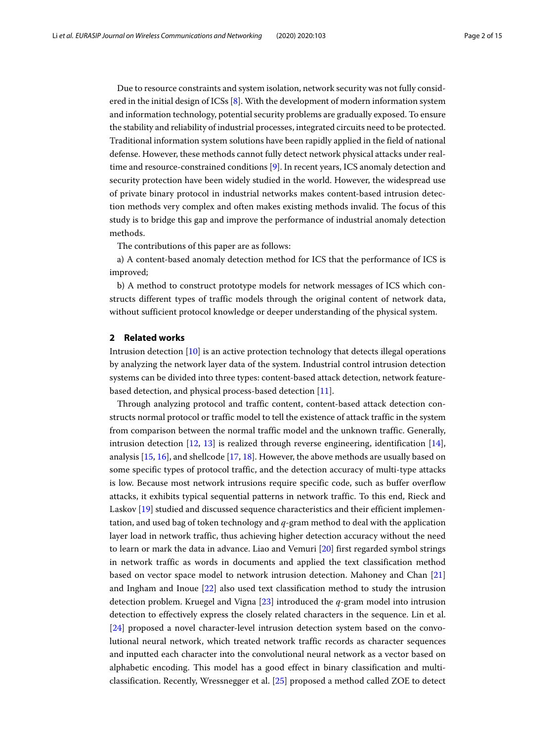Due to resource constraints and system isolation, network security was not fully considered in the initial design of ICSs  $[8]$ . With the development of modern information system and information technology, potential security problems are gradually exposed. To ensure the stability and reliability of industrial processes, integrated circuits need to be protected. Traditional information system solutions have been rapidly applied in the field of national defense. However, these methods cannot fully detect network physical attacks under realtime and resource-constrained conditions [\[9\]](#page-13-8). In recent years, ICS anomaly detection and security protection have been widely studied in the world. However, the widespread use of private binary protocol in industrial networks makes content-based intrusion detection methods very complex and often makes existing methods invalid. The focus of this study is to bridge this gap and improve the performance of industrial anomaly detection methods.

The contributions of this paper are as follows:

a) A content-based anomaly detection method for ICS that the performance of ICS is improved;

b) A method to construct prototype models for network messages of ICS which constructs different types of traffic models through the original content of network data, without sufficient protocol knowledge or deeper understanding of the physical system.

#### **2 Related works**

Intrusion detection [\[10\]](#page-13-9) is an active protection technology that detects illegal operations by analyzing the network layer data of the system. Industrial control intrusion detection systems can be divided into three types: content-based attack detection, network featurebased detection, and physical process-based detection [\[11\]](#page-13-10).

Through analyzing protocol and traffic content, content-based attack detection constructs normal protocol or traffic model to tell the existence of attack traffic in the system from comparison between the normal traffic model and the unknown traffic. Generally, intrusion detection  $[12, 13]$  $[12, 13]$  $[12, 13]$  is realized through reverse engineering, identification  $[14]$ , analysis [\[15,](#page-13-14) [16\]](#page-13-15), and shellcode [\[17,](#page-13-16) [18\]](#page-13-17). However, the above methods are usually based on some specific types of protocol traffic, and the detection accuracy of multi-type attacks is low. Because most network intrusions require specific code, such as buffer overflow attacks, it exhibits typical sequential patterns in network traffic. To this end, Rieck and Laskov [\[19\]](#page-13-18) studied and discussed sequence characteristics and their efficient implementation, and used bag of token technology and *q*-gram method to deal with the application layer load in network traffic, thus achieving higher detection accuracy without the need to learn or mark the data in advance. Liao and Vemuri [\[20\]](#page-13-19) first regarded symbol strings in network traffic as words in documents and applied the text classification method based on vector space model to network intrusion detection. Mahoney and Chan [\[21\]](#page-13-20) and Ingham and Inoue [\[22\]](#page-13-21) also used text classification method to study the intrusion detection problem. Kruegel and Vigna [\[23\]](#page-13-22) introduced the *q*-gram model into intrusion detection to effectively express the closely related characters in the sequence. Lin et al. [\[24\]](#page-13-23) proposed a novel character-level intrusion detection system based on the convolutional neural network, which treated network traffic records as character sequences and inputted each character into the convolutional neural network as a vector based on alphabetic encoding. This model has a good effect in binary classification and multiclassification. Recently, Wressnegger et al. [\[25\]](#page-13-24) proposed a method called ZOE to detect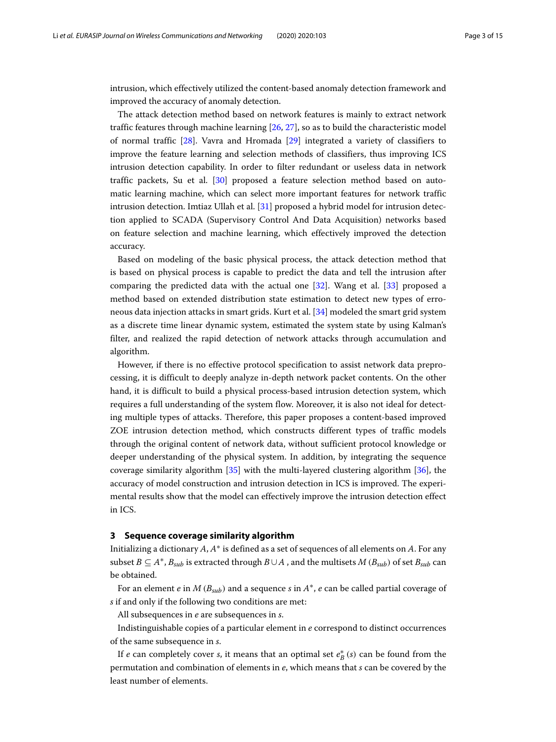intrusion, which effectively utilized the content-based anomaly detection framework and improved the accuracy of anomaly detection.

The attack detection method based on network features is mainly to extract network traffic features through machine learning [\[26,](#page-13-25) [27\]](#page-13-26), so as to build the characteristic model of normal traffic [\[28\]](#page-13-27). Vavra and Hromada [\[29\]](#page-13-28) integrated a variety of classifiers to improve the feature learning and selection methods of classifiers, thus improving ICS intrusion detection capability. In order to filter redundant or useless data in network traffic packets, Su et al. [\[30\]](#page-13-29) proposed a feature selection method based on automatic learning machine, which can select more important features for network traffic intrusion detection. Imtiaz Ullah et al. [\[31\]](#page-13-30) proposed a hybrid model for intrusion detection applied to SCADA (Supervisory Control And Data Acquisition) networks based on feature selection and machine learning, which effectively improved the detection accuracy.

Based on modeling of the basic physical process, the attack detection method that is based on physical process is capable to predict the data and tell the intrusion after comparing the predicted data with the actual one [\[32\]](#page-13-31). Wang et al. [\[33\]](#page-13-32) proposed a method based on extended distribution state estimation to detect new types of erroneous data injection attacks in smart grids. Kurt et al. [\[34\]](#page-13-33) modeled the smart grid system as a discrete time linear dynamic system, estimated the system state by using Kalman's filter, and realized the rapid detection of network attacks through accumulation and algorithm.

However, if there is no effective protocol specification to assist network data preprocessing, it is difficult to deeply analyze in-depth network packet contents. On the other hand, it is difficult to build a physical process-based intrusion detection system, which requires a full understanding of the system flow. Moreover, it is also not ideal for detecting multiple types of attacks. Therefore, this paper proposes a content-based improved ZOE intrusion detection method, which constructs different types of traffic models through the original content of network data, without sufficient protocol knowledge or deeper understanding of the physical system. In addition, by integrating the sequence coverage similarity algorithm [\[35\]](#page-13-34) with the multi-layered clustering algorithm [\[36\]](#page-14-0), the accuracy of model construction and intrusion detection in ICS is improved. The experimental results show that the model can effectively improve the intrusion detection effect in ICS.

#### **3 Sequence coverage similarity algorithm**

Initializing a dictionary *A*, *A*∗ is defined as a set of sequences of all elements on *A*. For any subset  $B \subseteq A^*$ ,  $B_{sub}$  is extracted through  $B \cup A$ , and the multisets  $M (B_{sub})$  of set  $B_{sub}$  can be obtained.

For an element *e* in *M* ( $B<sub>sub</sub>$ ) and a sequence *s* in  $A^*$ , *e* can be called partial coverage of *s* if and only if the following two conditions are met:

All subsequences in *e* are subsequences in *s*.

Indistinguishable copies of a particular element in *e* correspond to distinct occurrences of the same subsequence in *s*.

If *e* can completely cover *s*, it means that an optimal set  $e^*_B(s)$  can be found from the permutation and combination of elements in *e*, which means that *s* can be covered by the least number of elements.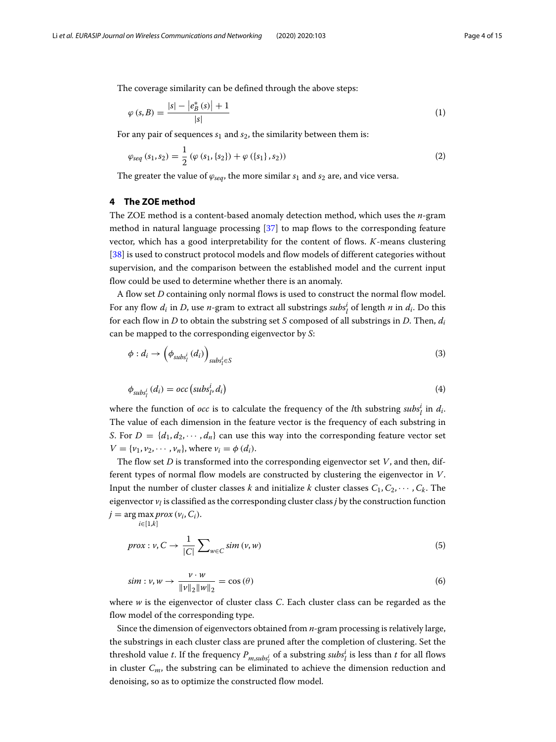The coverage similarity can be defined through the above steps:

$$
\varphi(s,B) = \frac{|s| - |e_B^*(s)| + 1}{|s|} \tag{1}
$$

For any pair of sequences  $s_1$  and  $s_2$ , the similarity between them is:

$$
\varphi_{seq}(s_1, s_2) = \frac{1}{2} \left( \varphi(s_1, \{s_2\}) + \varphi(\{s_1\}, s_2) \right) \tag{2}
$$

The greater the value of  $\varphi_{seq}$ , the more similar  $s_1$  and  $s_2$  are, and vice versa.

# **4 The ZOE method**

The ZOE method is a content-based anomaly detection method, which uses the *n*-gram method in natural language processing [\[37\]](#page-14-1) to map flows to the corresponding feature vector, which has a good interpretability for the content of flows. *K*-means clustering [\[38\]](#page-14-2) is used to construct protocol models and flow models of different categories without supervision, and the comparison between the established model and the current input flow could be used to determine whether there is an anomaly.

A flow set *D* containing only normal flows is used to construct the normal flow model. For any flow  $d_i$  in *D*, use *n*-gram to extract all substrings  $\textit{subs}_l^i$  of length *n* in  $d_i$ . Do this for each flow in *D* to obtain the substring set *S* composed of all substrings in *D*. Then, *di* can be mapped to the corresponding eigenvector by *S*:

$$
\phi: d_i \to \left(\phi_{subs^i_l}(d_i)\right)_{subs^i_l \in S} \tag{3}
$$

$$
\phi_{\text{subs}_l^i}(d_i) = \text{occ}\left(\text{subs}_l^i, d_i\right) \tag{4}
$$

where the function of *occ* is to calculate the frequency of the *l*th substring  $\textit{subs}_l^i$  in  $d_i$ . The value of each dimension in the feature vector is the frequency of each substring in *S*. For  $D = \{d_1, d_2, \dots, d_n\}$  can use this way into the corresponding feature vector set  $V = \{v_1, v_2, \dots, v_n\}$ , where  $v_i = \phi(d_i)$ .

The flow set *D* is transformed into the corresponding eigenvector set *V*, and then, different types of normal flow models are constructed by clustering the eigenvector in *V*. Input the number of cluster classes *k* and initialize *k* cluster classes  $C_1, C_2, \cdots, C_k$ . The eigenvector  $v_l$  is classified as the corresponding cluster class *j* by the construction function  $j = \arg \max \text{prox} (v_i, C_i).$ 

*i*∈[1,*k*]

$$
prox: v, C \to \frac{1}{|C|} \sum_{w \in C} sim(v, w)
$$
\n<sup>(5)</sup>

$$
sim: v, w \rightarrow \frac{v \cdot w}{\|v\|_2 \|w\|_2} = \cos(\theta) \tag{6}
$$

where *w* is the eigenvector of cluster class *C*. Each cluster class can be regarded as the flow model of the corresponding type.

Since the dimension of eigenvectors obtained from *n*-gram processing is relatively large, the substrings in each cluster class are pruned after the completion of clustering. Set the threshold value *t*. If the frequency  $P_{m,subj}$  of a substring  $subs_l^i$  is less than *t* for all flows in cluster *Cm*, the substring can be eliminated to achieve the dimension reduction and denoising, so as to optimize the constructed flow model.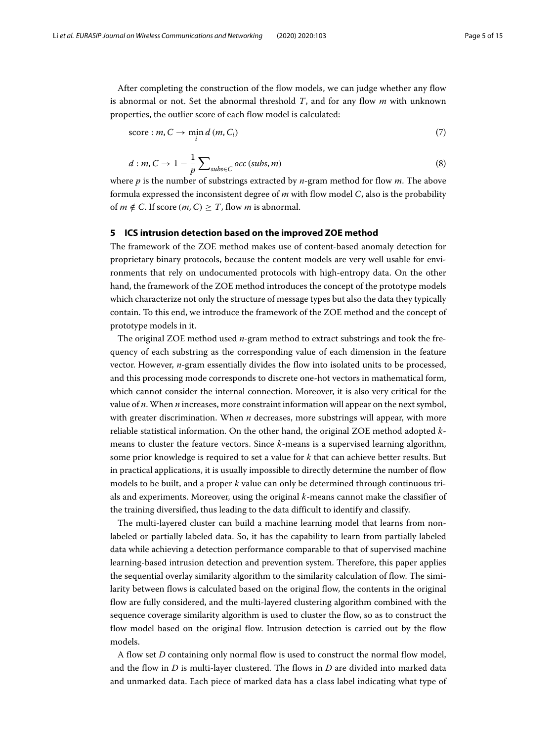After completing the construction of the flow models, we can judge whether any flow is abnormal or not. Set the abnormal threshold *T*, and for any flow *m* with unknown properties, the outlier score of each flow model is calculated:

$$
score: m, C \to \min_{i} d(m, C_i)
$$
\n<sup>(7)</sup>

$$
d: m, C \to 1 - \frac{1}{p} \sum_{subs \in C} occ (subs, m)
$$
 (8)

where *p* is the number of substrings extracted by *n*-gram method for flow *m*. The above formula expressed the inconsistent degree of *m* with flow model *C*, also is the probability of  $m \notin C$ . If score  $(m, C) > T$ , flow *m* is abnormal.

#### **5 ICS intrusion detection based on the improved ZOE method**

The framework of the ZOE method makes use of content-based anomaly detection for proprietary binary protocols, because the content models are very well usable for environments that rely on undocumented protocols with high-entropy data. On the other hand, the framework of the ZOE method introduces the concept of the prototype models which characterize not only the structure of message types but also the data they typically contain. To this end, we introduce the framework of the ZOE method and the concept of prototype models in it.

The original ZOE method used *n*-gram method to extract substrings and took the frequency of each substring as the corresponding value of each dimension in the feature vector. However, *n*-gram essentially divides the flow into isolated units to be processed, and this processing mode corresponds to discrete one-hot vectors in mathematical form, which cannot consider the internal connection. Moreover, it is also very critical for the value of *n*. When *n* increases, more constraint information will appear on the next symbol, with greater discrimination. When *n* decreases, more substrings will appear, with more reliable statistical information. On the other hand, the original ZOE method adopted *k*means to cluster the feature vectors. Since *k*-means is a supervised learning algorithm, some prior knowledge is required to set a value for *k* that can achieve better results. But in practical applications, it is usually impossible to directly determine the number of flow models to be built, and a proper *k* value can only be determined through continuous trials and experiments. Moreover, using the original *k*-means cannot make the classifier of the training diversified, thus leading to the data difficult to identify and classify.

The multi-layered cluster can build a machine learning model that learns from nonlabeled or partially labeled data. So, it has the capability to learn from partially labeled data while achieving a detection performance comparable to that of supervised machine learning-based intrusion detection and prevention system. Therefore, this paper applies the sequential overlay similarity algorithm to the similarity calculation of flow. The similarity between flows is calculated based on the original flow, the contents in the original flow are fully considered, and the multi-layered clustering algorithm combined with the sequence coverage similarity algorithm is used to cluster the flow, so as to construct the flow model based on the original flow. Intrusion detection is carried out by the flow models.

A flow set *D* containing only normal flow is used to construct the normal flow model, and the flow in *D* is multi-layer clustered. The flows in *D* are divided into marked data and unmarked data. Each piece of marked data has a class label indicating what type of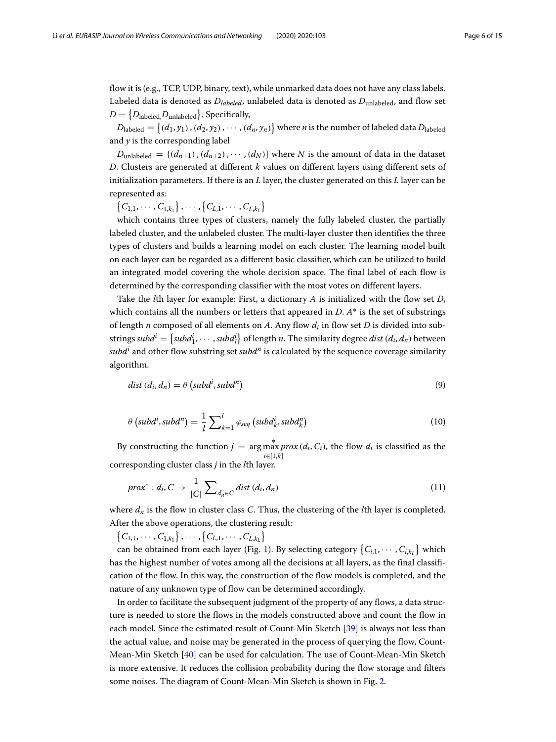flow it is (e.g., TCP, UDP, binary, text), while unmarked data does not have any class labels. Labeled data is denoted as  $D_{labeled}$ , unlabeled data is denoted as  $D_{unlabeled}$ , and flow set  $D = \{D_{\rm labeled}, D_{\rm unlabeled}\}$ . Specifically,

 $D_{\rm labeled} = \{(d_1, y_1), (d_2, y_2), \cdots, (d_n, y_n)\}$  where *n* is the number of labeled data  $D_{\rm labeled}$ and *y* is the corresponding label

 $D_{\text{unlabeled}} = \{(d_{n+1}), (d_{n+2}), \cdots, (d_N)\}\$  where *N* is the amount of data in the dataset *D*. Clusters are generated at different *k* values on different layers using different sets of initialization parameters. If there is an *L* layer, the cluster generated on this *L* layer can be represented as:

 $\{C_{1,1}, \cdots, C_{1,k_1}\}, \cdots, \{C_{L,1}, \cdots, C_{L,k_L}\}\$ 

which contains three types of clusters, namely the fully labeled cluster, the partially labeled cluster, and the unlabeled cluster. The multi-layer cluster then identifies the three types of clusters and builds a learning model on each cluster. The learning model built on each layer can be regarded as a different basic classifier, which can be utilized to build an integrated model covering the whole decision space. The final label of each flow is determined by the corresponding classifier with the most votes on different layers.

Take the *l*th layer for example: First, a dictionary *A* is initialized with the flow set *D*, which contains all the numbers or letters that appeared in *D*. *A*∗ is the set of substrings of length *n* composed of all elements on *A*. Any flow *di* in flow set *D* is divided into substrings  $\textit{subd}^i = \{ \textit{subd}^i_1, \cdots, \textit{subd}^i_l \}$  of length *n*. The similarity degree  $\textit{dist}\left(d_i, d_n\right)$  between  $subd<sup>i</sup>$  and other flow substring set  $subd<sup>n</sup>$  is calculated by the sequence coverage similarity algorithm.

$$
dist (d_i, d_n) = \theta (subd^i, subd^n)
$$
\n(9)

$$
\theta\left(\text{subd}^i,\text{subd}^n\right) = \frac{1}{l} \sum_{k=1}^l \varphi_{\text{seq}}\left(\text{subd}_k^i,\text{subd}_k^n\right) \tag{10}
$$

By constructing the function  $j = \arg \max_{x} prox(d_i, C_i)$ , the flow  $d_i$  is classified as the *i*∈[1,*k*] corresponding cluster class *j* in the *l*th layer.

$$
prox^* : d_i, C \to \frac{1}{|C|} \sum_{d_n \in C} dist(d_i, d_n)
$$
\n(11)

where *dn* is the flow in cluster class *C*. Thus, the clustering of the *l*th layer is completed. After the above operations, the clustering result:

 $\{C_{1,1}, \cdots, C_{1,k_1}\}, \cdots, \{C_{L,1}, \cdots, C_{L,k_L}\}\$ 

can be obtained from each layer (Fig. [1\)](#page-6-0). By selecting category  $\{C_{i,1}, \cdots, C_{i,k_L}\}$  which has the highest number of votes among all the decisions at all layers, as the final classification of the flow. In this way, the construction of the flow models is completed, and the nature of any unknown type of flow can be determined accordingly.

In order to facilitate the subsequent judgment of the property of any flows, a data structure is needed to store the flows in the models constructed above and count the flow in each model. Since the estimated result of Count-Min Sketch [\[39\]](#page-14-3) is always not less than the actual value, and noise may be generated in the process of querying the flow, Count-Mean-Min Sketch [\[40\]](#page-14-4) can be used for calculation. The use of Count-Mean-Min Sketch is more extensive. It reduces the collision probability during the flow storage and filters some noises. The diagram of Count-Mean-Min Sketch is shown in Fig. [2.](#page-6-1)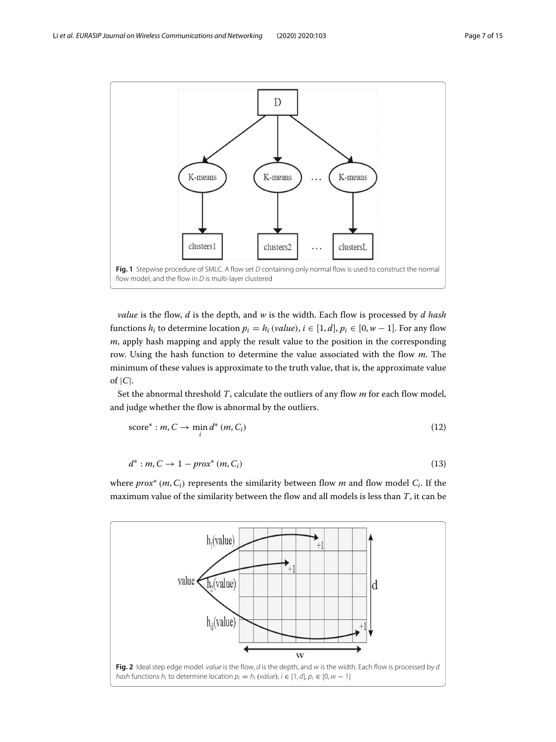

<span id="page-6-0"></span>*value* is the flow, *d* is the depth, and *w* is the width. Each flow is processed by *d hash* functions  $h_i$  to determine location  $p_i = h_i$  (*value*),  $i \in [1, d]$ ,  $p_i \in [0, w - 1]$ . For any flow *m*, apply hash mapping and apply the result value to the position in the corresponding row. Using the hash function to determine the value associated with the flow *m*. The minimum of these values is approximate to the truth value, that is, the approximate value of  $|C|$ .

Set the abnormal threshold *T*, calculate the outliers of any flow *m* for each flow model, and judge whether the flow is abnormal by the outliers.

$$
score^* : m, C \to \min_i d^* (m, C_i)
$$
\n(12)

$$
d^* : m, C \to 1 - prox^* (m, C_i)
$$
\n
$$
(13)
$$

where *prox*<sup>∗</sup> (*m*,*Ci*) represents the similarity between flow *m* and flow model *Ci*. If the maximum value of the similarity between the flow and all models is less than *T*, it can be

<span id="page-6-1"></span>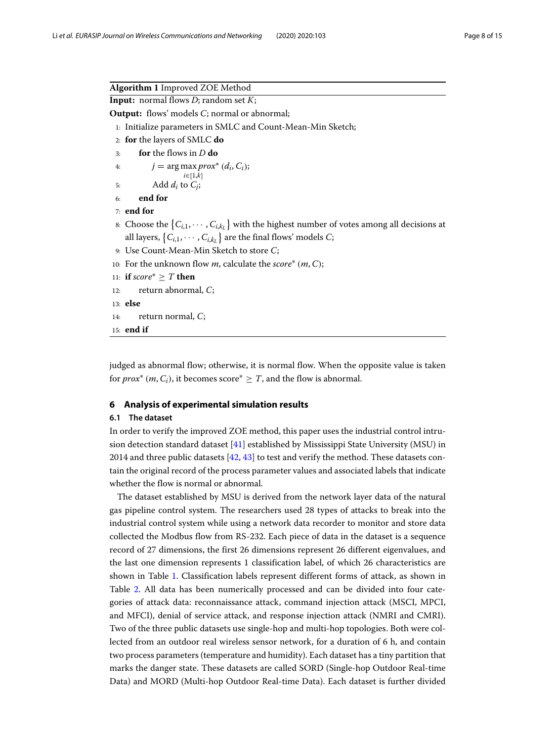| <b>Algorithm 1</b> Improved ZOE Method                                                               |
|------------------------------------------------------------------------------------------------------|
| <b>Input:</b> normal flows $D$ ; random set $K$ ;                                                    |
| <b>Output:</b> flows' models C; normal or abnormal;                                                  |
| 1: Initialize parameters in SMLC and Count-Mean-Min Sketch;                                          |
| 2: for the layers of SMLC do                                                                         |
| for the flows in $D$ do<br>3:                                                                        |
| $j = \arg \max prox^* (d_i, C_i);$<br>4:                                                             |
| $i \in [1,k]$<br>Add $d_i$ to $C_i$ ;<br>5:                                                          |
| end for<br>6:                                                                                        |
| $7:$ end for                                                                                         |
| 8: Choose the $\{C_{i,1}, \dots, C_{i,k} \}$ with the highest number of votes among all decisions at |
| all layers, $\{C_{i,1}, \dots, C_{i,k_L}\}\$ are the final flows' models C;                          |
| 9. Use Count-Mean-Min Sketch to store C;                                                             |
| 10: For the unknown flow <i>m</i> , calculate the <i>score</i> * $(m, C)$ ;                          |
| 11: if score* $\geq T$ then                                                                          |
| return abnormal, $C_i$<br>12:                                                                        |
| $13:$ else                                                                                           |
| return normal, $C_i$<br>14:                                                                          |
| $15:$ end if                                                                                         |

judged as abnormal flow; otherwise, it is normal flow. When the opposite value is taken for *prox<sup>\*</sup>* (*m*, *C*<sub>*i*</sub>), it becomes score<sup>\*</sup>  $\geq$  *T*, and the flow is abnormal.

#### **6 Analysis of experimental simulation results**

#### **6.1 The dataset**

In order to verify the improved ZOE method, this paper uses the industrial control intrusion detection standard dataset [\[41\]](#page-14-5) established by Mississippi State University (MSU) in 2014 and three public datasets [\[42,](#page-14-6) [43\]](#page-14-7) to test and verify the method. These datasets contain the original record of the process parameter values and associated labels that indicate whether the flow is normal or abnormal.

The dataset established by MSU is derived from the network layer data of the natural gas pipeline control system. The researchers used 28 types of attacks to break into the industrial control system while using a network data recorder to monitor and store data collected the Modbus flow from RS-232. Each piece of data in the dataset is a sequence record of 27 dimensions, the first 26 dimensions represent 26 different eigenvalues, and the last one dimension represents 1 classification label, of which 26 characteristics are shown in Table [1.](#page-8-0) Classification labels represent different forms of attack, as shown in Table [2.](#page-8-1) All data has been numerically processed and can be divided into four categories of attack data: reconnaissance attack, command injection attack (MSCI, MPCI, and MFCI), denial of service attack, and response injection attack (NMRI and CMRI). Two of the three public datasets use single-hop and multi-hop topologies. Both were collected from an outdoor real wireless sensor network, for a duration of 6 h, and contain two process parameters (temperature and humidity). Each dataset has a tiny partition that marks the danger state. These datasets are called SORD (Single-hop Outdoor Real-time Data) and MORD (Multi-hop Outdoor Real-time Data). Each dataset is further divided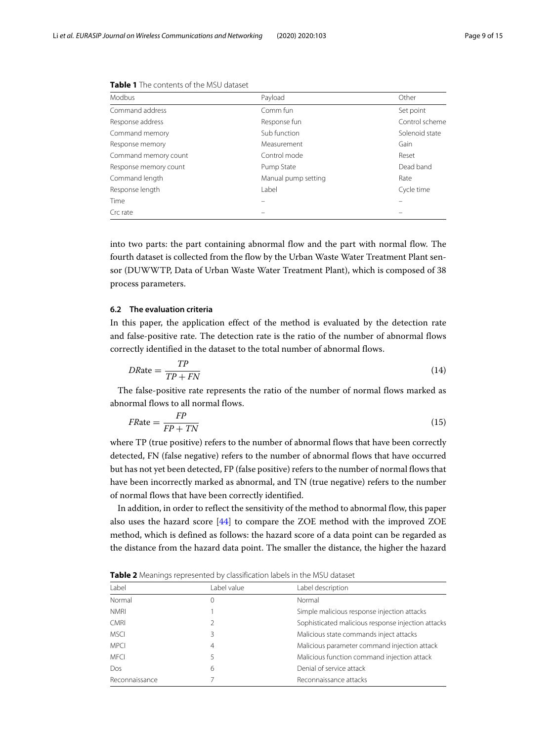| <b>Modbus</b>         | Payload             | Other          |
|-----------------------|---------------------|----------------|
| Command address       | Comm fun            | Set point      |
| Response address      | Response fun        | Control scheme |
| Command memory        | Sub function        | Solenoid state |
| Response memory       | Measurement         | Gain           |
| Command memory count  | Control mode        | Reset          |
| Response memory count | Pump State          | Dead band      |
| Command length        | Manual pump setting | Rate           |
| Response length       | I abel              | Cycle time     |
| Time                  |                     |                |
| Crc rate              |                     |                |

<span id="page-8-0"></span>**Table 1** The contents of the MSU dataset

into two parts: the part containing abnormal flow and the part with normal flow. The fourth dataset is collected from the flow by the Urban Waste Water Treatment Plant sensor (DUWWTP, Data of Urban Waste Water Treatment Plant), which is composed of 38 process parameters.

#### **6.2 The evaluation criteria**

In this paper, the application effect of the method is evaluated by the detection rate and false-positive rate. The detection rate is the ratio of the number of abnormal flows correctly identified in the dataset to the total number of abnormal flows.

$$
DRate = \frac{TP}{TP + FN} \tag{14}
$$

The false-positive rate represents the ratio of the number of normal flows marked as abnormal flows to all normal flows.

$$
FRate = \frac{FP}{FP + TN} \tag{15}
$$

where TP (true positive) refers to the number of abnormal flows that have been correctly detected, FN (false negative) refers to the number of abnormal flows that have occurred but has not yet been detected, FP (false positive) refers to the number of normal flows that have been incorrectly marked as abnormal, and TN (true negative) refers to the number of normal flows that have been correctly identified.

In addition, in order to reflect the sensitivity of the method to abnormal flow, this paper also uses the hazard score [\[44\]](#page-14-8) to compare the ZOE method with the improved ZOE method, which is defined as follows: the hazard score of a data point can be regarded as the distance from the hazard data point. The smaller the distance, the higher the hazard

<span id="page-8-1"></span>**Table 2** Meanings represented by classification labels in the MSU dataset

| Label          | Label value    | Label description                                  |
|----------------|----------------|----------------------------------------------------|
| Normal         | 0              | Normal                                             |
| <b>NMRI</b>    |                | Simple malicious response injection attacks        |
| <b>CMRI</b>    | 2              | Sophisticated malicious response injection attacks |
| <b>MSCI</b>    | 3              | Malicious state commands inject attacks            |
| <b>MPCI</b>    | $\overline{4}$ | Malicious parameter command injection attack       |
| <b>MFCI</b>    | 5              | Malicious function command injection attack        |
| Dos            | 6              | Denial of service attack                           |
| Reconnaissance |                | Reconnaissance attacks                             |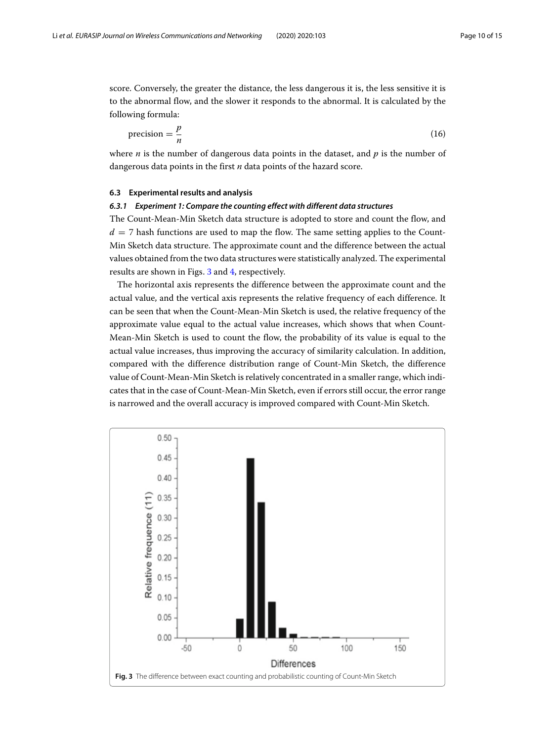score. Conversely, the greater the distance, the less dangerous it is, the less sensitive it is to the abnormal flow, and the slower it responds to the abnormal. It is calculated by the following formula:

$$
precision = \frac{p}{n} \tag{16}
$$

where *n* is the number of dangerous data points in the dataset, and *p* is the number of dangerous data points in the first *n* data points of the hazard score.

#### **6.3 Experimental results and analysis**

#### *6.3.1 Experiment 1: Compare the counting effect with different data structures*

The Count-Mean-Min Sketch data structure is adopted to store and count the flow, and  $d = 7$  hash functions are used to map the flow. The same setting applies to the Count-Min Sketch data structure. The approximate count and the difference between the actual values obtained from the two data structures were statistically analyzed. The experimental results are shown in Figs. [3](#page-9-0) and [4,](#page-10-0) respectively.

The horizontal axis represents the difference between the approximate count and the actual value, and the vertical axis represents the relative frequency of each difference. It can be seen that when the Count-Mean-Min Sketch is used, the relative frequency of the approximate value equal to the actual value increases, which shows that when Count-Mean-Min Sketch is used to count the flow, the probability of its value is equal to the actual value increases, thus improving the accuracy of similarity calculation. In addition, compared with the difference distribution range of Count-Min Sketch, the difference value of Count-Mean-Min Sketch is relatively concentrated in a smaller range, which indicates that in the case of Count-Mean-Min Sketch, even if errors still occur, the error range is narrowed and the overall accuracy is improved compared with Count-Min Sketch.

<span id="page-9-0"></span>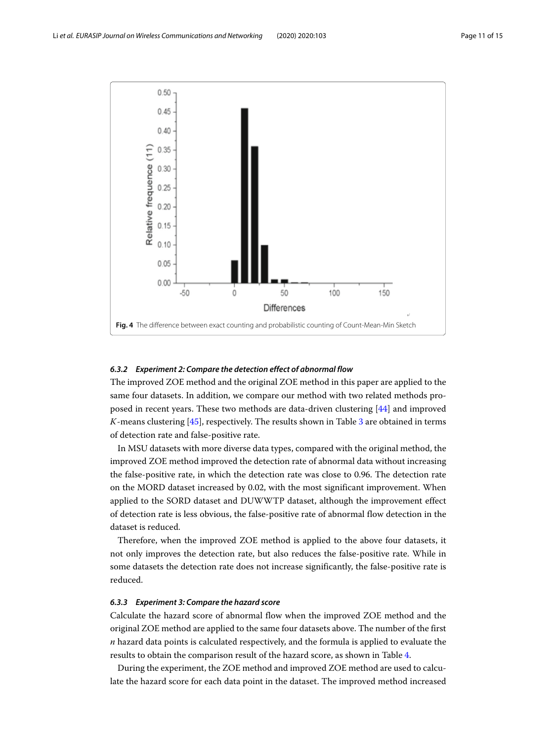

# <span id="page-10-0"></span>*6.3.2 Experiment 2: Compare the detection effect of abnormal flow*

The improved ZOE method and the original ZOE method in this paper are applied to the same four datasets. In addition, we compare our method with two related methods proposed in recent years. These two methods are data-driven clustering [\[44\]](#page-14-8) and improved *K*-means clustering [\[45\]](#page-14-9), respectively. The results shown in Table [3](#page-11-0) are obtained in terms of detection rate and false-positive rate.

In MSU datasets with more diverse data types, compared with the original method, the improved ZOE method improved the detection rate of abnormal data without increasing the false-positive rate, in which the detection rate was close to 0.96. The detection rate on the MORD dataset increased by 0.02, with the most significant improvement. When applied to the SORD dataset and DUWWTP dataset, although the improvement effect of detection rate is less obvious, the false-positive rate of abnormal flow detection in the dataset is reduced.

Therefore, when the improved ZOE method is applied to the above four datasets, it not only improves the detection rate, but also reduces the false-positive rate. While in some datasets the detection rate does not increase significantly, the false-positive rate is reduced.

#### *6.3.3 Experiment 3: Compare the hazard score*

Calculate the hazard score of abnormal flow when the improved ZOE method and the original ZOE method are applied to the same four datasets above. The number of the first *n* hazard data points is calculated respectively, and the formula is applied to evaluate the results to obtain the comparison result of the hazard score, as shown in Table [4.](#page-12-0)

During the experiment, the ZOE method and improved ZOE method are used to calculate the hazard score for each data point in the dataset. The improved method increased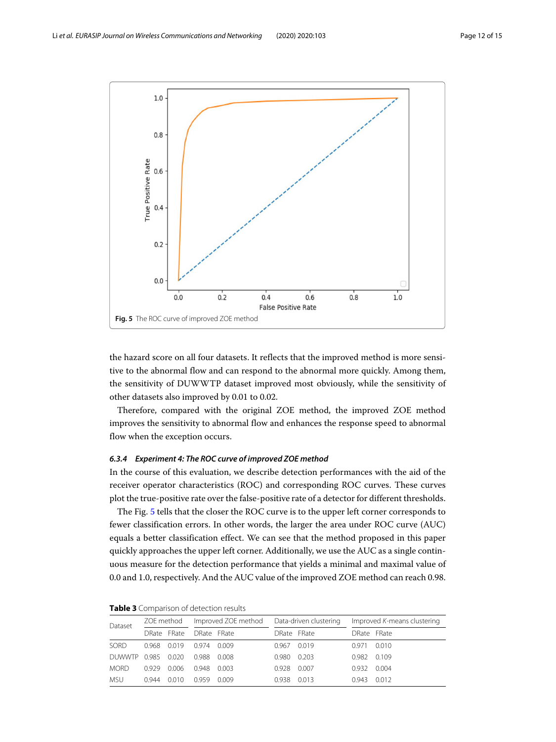

<span id="page-11-1"></span>the hazard score on all four datasets. It reflects that the improved method is more sensitive to the abnormal flow and can respond to the abnormal more quickly. Among them, the sensitivity of DUWWTP dataset improved most obviously, while the sensitivity of other datasets also improved by 0.01 to 0.02.

Therefore, compared with the original ZOE method, the improved ZOE method improves the sensitivity to abnormal flow and enhances the response speed to abnormal flow when the exception occurs.

# *6.3.4 Experiment 4: The ROC curve of improved ZOE method*

In the course of this evaluation, we describe detection performances with the aid of the receiver operator characteristics (ROC) and corresponding ROC curves. These curves plot the true-positive rate over the false-positive rate of a detector for different thresholds.

The Fig. [5](#page-11-1) tells that the closer the ROC curve is to the upper left corner corresponds to fewer classification errors. In other words, the larger the area under ROC curve (AUC) equals a better classification effect. We can see that the method proposed in this paper quickly approaches the upper left corner. Additionally, we use the AUC as a single continuous measure for the detection performance that yields a minimal and maximal value of 0.0 and 1.0, respectively. And the AUC value of the improved ZOE method can reach 0.98.

| Dataset     | ZOE method |             | Improved ZOE method |       | Data-driven clustering |       | Improved K-means clustering |       |
|-------------|------------|-------------|---------------------|-------|------------------------|-------|-----------------------------|-------|
|             |            | DRate FRate | DRate FRate         |       | DRate FRate            |       | DRate FRate                 |       |
| <b>SORD</b> | 0.968      | 0.019       | 0.974               | 0.009 | $0.967$ 0.019          |       | 0.971                       | 0.010 |
| DUWWTP 0985 |            | 0.020       | 0.988               | 0.008 | 0.980                  | 0.203 | 0.982                       | 0.109 |
| <b>MORD</b> | 0.929      | 0.006       | 0.948               | 0.003 | 0.928                  | 0.007 | 0.932                       | 0.004 |
| <b>MSU</b>  | 0.944      | 0.010       | 0.959               | 0.009 | 0.938                  | 0.013 | 0.943                       | 0.012 |

<span id="page-11-0"></span>

| Table 3 Comparison of detection results |  |
|-----------------------------------------|--|
|-----------------------------------------|--|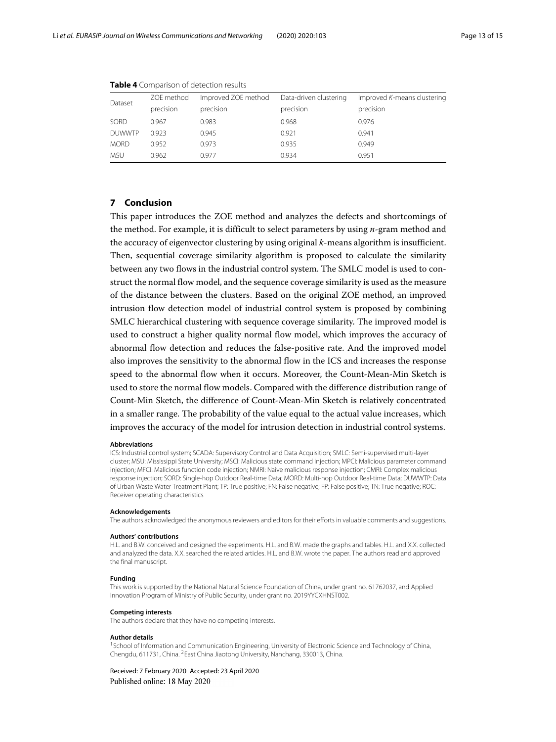| Dataset       | ZOE method | Improved ZOE method | Data-driven clustering | Improved K-means clustering |
|---------------|------------|---------------------|------------------------|-----------------------------|
|               | precision  | precision           | precision              | precision                   |
| SORD          | 0.967      | 0.983               | 0.968                  | 0.976                       |
| <b>DUWWTP</b> | 0.923      | 0.945               | 0.921                  | 0.941                       |
| <b>MORD</b>   | 0.952      | 0.973               | 0.935                  | 0.949                       |
| <b>MSU</b>    | 0.962      | 0.977               | 0.934                  | 0.951                       |

<span id="page-12-0"></span>

|  | Table 4 Comparison of detection results |  |  |
|--|-----------------------------------------|--|--|
|--|-----------------------------------------|--|--|

#### **7 Conclusion**

This paper introduces the ZOE method and analyzes the defects and shortcomings of the method. For example, it is difficult to select parameters by using *n*-gram method and the accuracy of eigenvector clustering by using original *k*-means algorithm is insufficient. Then, sequential coverage similarity algorithm is proposed to calculate the similarity between any two flows in the industrial control system. The SMLC model is used to construct the normal flow model, and the sequence coverage similarity is used as the measure of the distance between the clusters. Based on the original ZOE method, an improved intrusion flow detection model of industrial control system is proposed by combining SMLC hierarchical clustering with sequence coverage similarity. The improved model is used to construct a higher quality normal flow model, which improves the accuracy of abnormal flow detection and reduces the false-positive rate. And the improved model also improves the sensitivity to the abnormal flow in the ICS and increases the response speed to the abnormal flow when it occurs. Moreover, the Count-Mean-Min Sketch is used to store the normal flow models. Compared with the difference distribution range of Count-Min Sketch, the difference of Count-Mean-Min Sketch is relatively concentrated in a smaller range. The probability of the value equal to the actual value increases, which improves the accuracy of the model for intrusion detection in industrial control systems.

#### **Abbreviations**

ICS: Industrial control system; SCADA: Supervisory Control and Data Acquisition; SMLC: Semi-supervised multi-layer cluster; MSU: Mississippi State University; MSCI: Malicious state command injection; MPCI: Malicious parameter command injection; MFCI: Malicious function code injection; NMRI: Naive malicious response injection; CMRI: Complex malicious response injection; SORD: Single-hop Outdoor Real-time Data; MORD: Multi-hop Outdoor Real-time Data; DUWWTP: Data of Urban Waste Water Treatment Plant; TP: True positive; FN: False negative; FP: False positive; TN: True negative; ROC: Receiver operating characteristics

#### **Acknowledgements**

The authors acknowledged the anonymous reviewers and editors for their efforts in valuable comments and suggestions.

#### **Authors' contributions**

H.L. and B.W. conceived and designed the experiments. H.L. and B.W. made the graphs and tables. H.L. and X.X. collected and analyzed the data. X.X. searched the related articles. H.L. and B.W. wrote the paper. The authors read and approved the final manuscript.

#### **Funding**

This work is supported by the National Natural Science Foundation of China, under grant no. 61762037, and Applied Innovation Program of Ministry of Public Security, under grant no. 2019YYCXHNST002.

#### **Competing interests**

The authors declare that they have no competing interests.

#### **Author details**

<sup>1</sup> School of Information and Communication Engineering, University of Electronic Science and Technology of China, Chengdu, 611731, China. 2East China Jiaotong University, Nanchang, 330013, China.

Received: 7 February 2020 Accepted: 23 April 2020Published online: 18 May 2020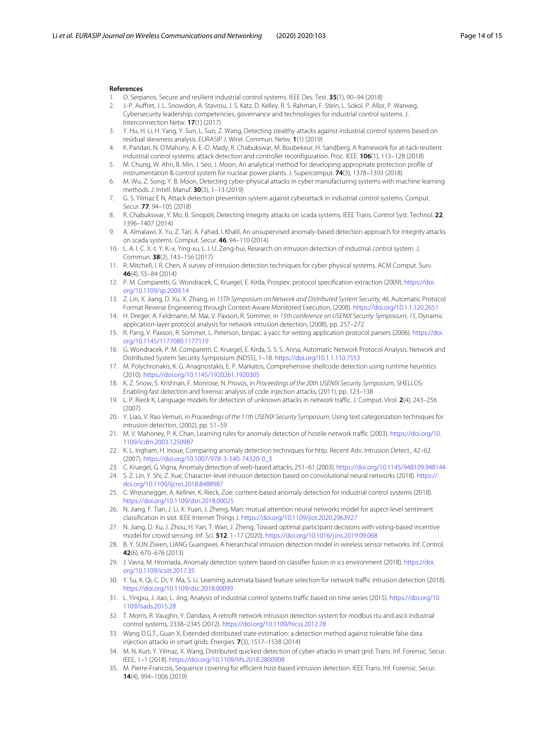#### **References**

- <span id="page-13-0"></span>1. D. Serpanos, Secure and resilient industrial control systems. IEEE Des. Test. **35**(1), 90–94 (2018)
- <span id="page-13-1"></span>2. J.-P. Auffret, J. L. Snowdon, A. Stavrou, J. S. Katz, D. Kelley, R. S. Rahman, F. Stein, L. Sokol, P. Allor, P. Warweg, Cybersecurity leadership: competencies, governance and technologies for industrial control systems. J. Interconnection Netw. **17**(1) (2017)
- <span id="page-13-2"></span>3. Y. Hu, H. Li, H. Yang, Y. Sun, L. Sun, Z. Wang, Detecting stealthy attacks against industrial control systems based on residual skewness analysis. EURASIP J. Wirel. Commun. Netw. **1**(1) (2019)
- <span id="page-13-3"></span>4. K. Paridari, N. O'Mahony, A. E.-D. Mady, R. Chabukswar, M. Boubekeur, H. Sandberg, A framework for at-tack-resilient industrial control systems: attack detection and controller reconfiguration. Proc. IEEE. **106**(1), 113–128 (2018)
- <span id="page-13-4"></span>5. M. Chung, W. Ahn, B. Min, J. Seo, J. Moon, An analytical method for developing appropriate protection profile of instrumentation & control system for nuclear power plants. J. Supercomput. **74**(3), 1378–1393 (2018)
- <span id="page-13-5"></span>6. M. Wu, Z. Song, Y. B. Moon, Detecting cyber-physical attacks in cyber manufacturing systems with machine learning methods. J. Intell. Manuf. **30**(3), 1–13 (2019)
- <span id="page-13-6"></span>7. G. S. Yilmaz E N, Attack detection prevention system against cyberattack in industrial control systems. Comput. Secur. **77**, 94–105 (2018)
- <span id="page-13-7"></span>8. R. Chabukswar, Y. Mo, B. Sinopoli, Detecting integrity attacks on scada systems. IEEE Trans. Control Syst. Technol. **22**, 1396–1407 (2014)
- <span id="page-13-8"></span>9. A. Almalawi, X. Yu, Z. Tari, A. Fahad, I. Khalil, An unsupervised anomaly-based detection approach for integrity attacks on scada systems. Comput. Secur. **46**, 94–110 (2014)
- <span id="page-13-9"></span>10. L. A. I. C. X.-t. Y. K.-x. Ying-xu, L. I. U. Zeng-hui, Research on intrusion detection of industrial control system. J. Commun. **38**(2), 143–156 (2017)
- <span id="page-13-10"></span>11. R. Mitchell, I. R. Chen, A survey of intrusion detection techniques for cyber physical systems. ACM Comput. Surv. **46**(4), 55–84 (2014)
- <span id="page-13-11"></span>12. P. M. Comparetti, G. Wondracek, C. Kruegel, E. Kirda, Prospex: protocol specification extraction (2009). [https://doi.](https://doi.org/10.1109/sp.2009.14) [org/10.1109/sp.2009.14](https://doi.org/10.1109/sp.2009.14)
- <span id="page-13-12"></span>13. Z. Lin, X. Jiang, D. Xu, X. Zhang, in 15Th Symposium on Network and Distributed System Security, 46, Automatic Protocol Format Reverse Engineering through Context-Aware Monitored Execution, (2008). <https://doi.org/10.1.1.120.2651>
- <span id="page-13-13"></span>14. H. Dreger, A. Feldmann, M. Mai, V. Paxson, R. Sommer, in 15th conference on USENIX Security Symposium, 15, Dynamic application-layer protocol analysis for network intrusion detection, (2008), pp. 257–272
- <span id="page-13-14"></span>15. R. Pang, V. Paxson, R. Sommer, L. Peterson, binpac: a yacc for writing application protocol parsers (2006). [https://doi.](https://doi.org/10.1145/1177080.1177119) [org/10.1145/1177080.1177119](https://doi.org/10.1145/1177080.1177119)
- <span id="page-13-15"></span>16. G. Wondracek, P. M. Comparetti, C. Kruegel, E. Kirda, S. S. S. Anna, Automatic Network Protocol Analysis. Network and Distributed System Security Symposium (NDSS), 1–18. <https://doi.org/10.1.1.110.7553>
- <span id="page-13-16"></span>17. M. Polychronakis, K. G. Anagnostakis, E. P. Markatos, Comprehensive shellcode detection using runtime heuristics (2010). <https://doi.org/10.1145/1920261.1920305>
- <span id="page-13-17"></span>18. K. Z. Snow, S. Krishnan, F. Monrose, N. Provos, in Proceedings of the 20th USENIX Security Symposium, SHELLOS: Enabling fast detection and forensic analysis of code injection attacks, (2011), pp. 123–138
- <span id="page-13-18"></span>19. L. P. Rieck K, Language models for detection of unknown attacks in network traffic. J. Comput. Virol. **2**(4), 243–256 (2007)
- <span id="page-13-19"></span>20. Y. Liao, V. Rao Vemuri, in Proceedings of the 11th USENIX Security Symposium, Using text categorization techniques for intrusion detection, (2002), pp. 51–59
- <span id="page-13-20"></span>21. M. V. Mahoney, P. K. Chan, Learning rules for anomaly detection of hostile network traffic (2003). [https://doi.org/10.](https://doi.org/10.1109/icdm.2003.1250987) [1109/icdm.2003.1250987](https://doi.org/10.1109/icdm.2003.1250987)
- <span id="page-13-21"></span>22. K. L. Ingham, H. Inoue, Comparing anomaly detection techniques for http. Recent Adv. Intrusion Detect., 42–62 (2007). [https://doi.org/10.1007/978-3-540-74320-0\\_3](https://doi.org/10.1007/978-3-540-74320-0_3)
- <span id="page-13-22"></span>23. C. Kruegel, G. Vigna, Anomaly detection of web-based attacks, 251–61 (2003). <https://doi.org/10.1145/948109.948144>
- <span id="page-13-23"></span>24. S. Z. Lin, Y. Shi, Z. Xue, Character-level intrusion detection based on convolutional neural networks (2018). [https://](https://doi.org/10.1109/ijcnn.2018.8488987) [doi.org/10.1109/ijcnn.2018.8488987](https://doi.org/10.1109/ijcnn.2018.8488987)
- <span id="page-13-24"></span>25. C. Wressnegger, A. Kellner, K. Rieck, Zoe: content-based anomaly detection for industrial control systems (2018). <https://doi.org/10.1109/dsn.2018.00025>
- <span id="page-13-25"></span>26. N. Jiang, F. Tian, J. Li, X. Yuan, J. Zheng, Man: mutual attention neural networks model for aspect-level sentiment classification in siot. IEEE Internet Things J. <https://doi.org/10.1109/jiot.2020.2963927>
- <span id="page-13-26"></span>27. N. Jiang, D. Xu, J. Zhou, H. Yan, T. Wan, J. Zheng, Toward optimal participant decisions with voting-based incentive model for crowd sensing. Inf. Sci. **512**, 1–17 (2020). <https://doi.org/10.1016/j.ins.2019.09.068>
- <span id="page-13-27"></span>28. B. Y. SUN Ziwen, LIANG Guangwei, A hierarchical intrusion detection model in wireless sensor networks. Inf. Control. **42**(6), 670–676 (2013)
- <span id="page-13-28"></span>29. J. Vavra, M. Hromada, Anomaly detection system based on classifier fusion in ics environment (2018). [https://doi.](https://doi.org/10.1109/icsiit.2017.35) [org/10.1109/icsiit.2017.35](https://doi.org/10.1109/icsiit.2017.35)
- <span id="page-13-29"></span>30. Y. Su, K. Qi, C. Di, Y. Ma, S. Li, Learning automata based feature selection for network traffic intrusion detection (2018). <https://doi.org/10.1109/dsc.2018.00099>
- <span id="page-13-30"></span>31. L. Yingxu, J. Jiao, L. Jing, Analysis of industrial control systems traffic based on time series (2015). [https://doi.org/10.](https://doi.org/10.1109/isads.2015.28) [1109/isads.2015.28](https://doi.org/10.1109/isads.2015.28)
- <span id="page-13-31"></span>32. T. Morris, R. Vaughn, Y. Dandass, A retrofit network intrusion detection system for modbus rtu and ascii industrial control systems, 2338–2345 (2012). <https://doi.org/10.1109/hicss.2012.78>
- <span id="page-13-32"></span>33. Wang D.G.T., Guan X, Extended distributed state estimation: a detection method against tolerable false data injection attacks in smart grids. Energies. **7**(3), 1517–1538 (2014)
- <span id="page-13-33"></span>34. M. N. Kurt, Y. Yilmaz, X. Wang, Distributed quickest detection of cyber-attacks in smart grid. Trans. Inf. Forensic. Secur. IEEE, 1–1 (2018). <https://doi.org/10.1109/tifs.2018.2800908>
- <span id="page-13-34"></span>35. M. Pierre-Francois, Sequence covering for efficient host-based intrusion detection. IEEE Trans. Inf. Forensic. Secur. **14**(4), 994–1006 (2019)